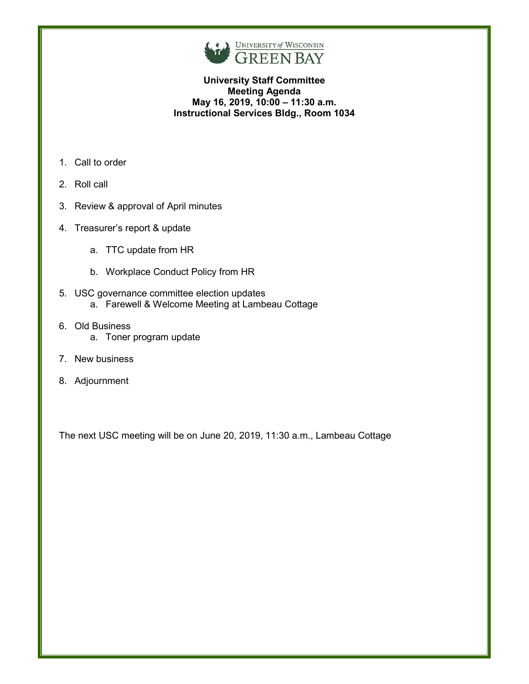

# **University Staff Committee Meeting Agenda May 16, 2019, 10:00 – 11:30 a.m. Instructional Services Bldg., Room 1034**

- 1. Call to order
- 2. Roll call
- 3. Review & approval of April minutes
- 4. Treasurer's report & update
	- a. TTC update from HR
	- b. Workplace Conduct Policy from HR
- 5. USC governance committee election updates a. Farewell & Welcome Meeting at Lambeau Cottage
- 6. Old Business a. Toner program update
- 7. New business
- 8. Adjournment

The next USC meeting will be on June 20, 2019, 11:30 a.m., Lambeau Cottage